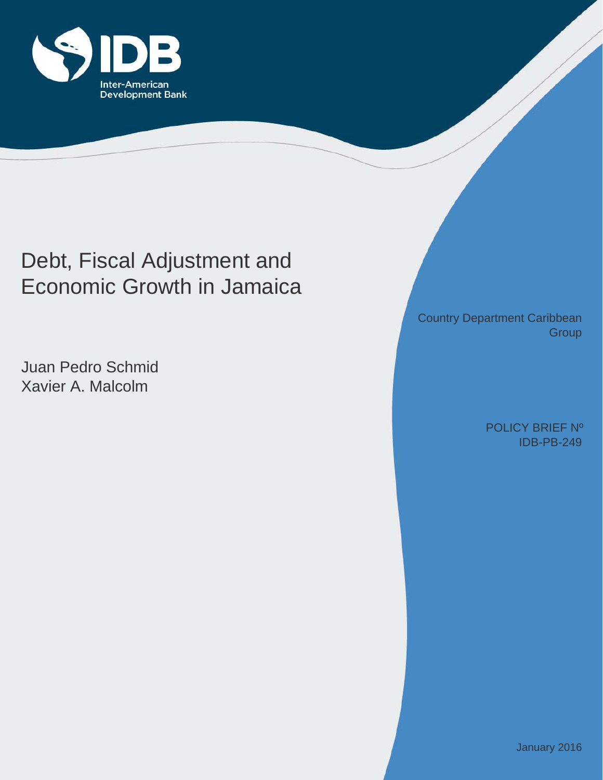

# Debt, Fiscal Adjustment and Economic Growth in Jamaica

Juan Pedro Schmid Xavier A. Malcolm

Country Department Caribbean **Group** 

> IDB-PB-249 POLICY BRIEF Nº

> > January 2016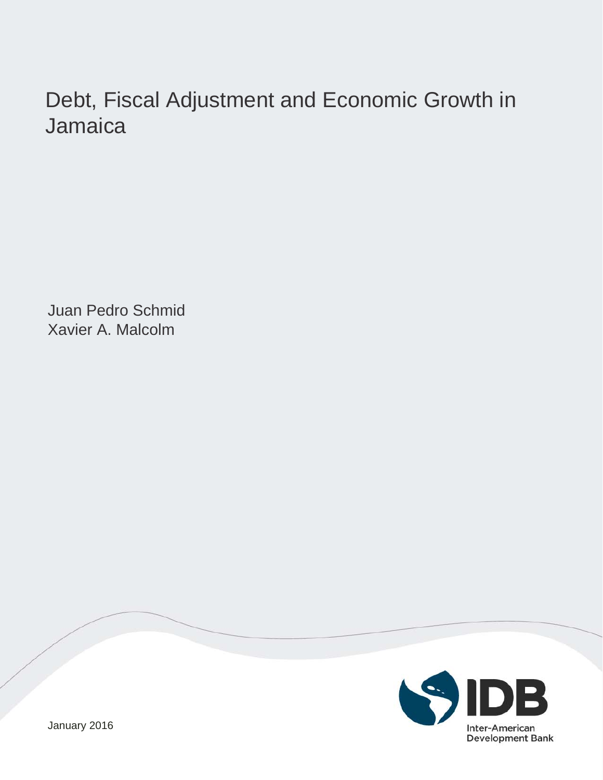# Debt, Fiscal Adjustment and Economic Growth in Jamaica

Juan Pedro Schmid Xavier A. Malcolm



January 2016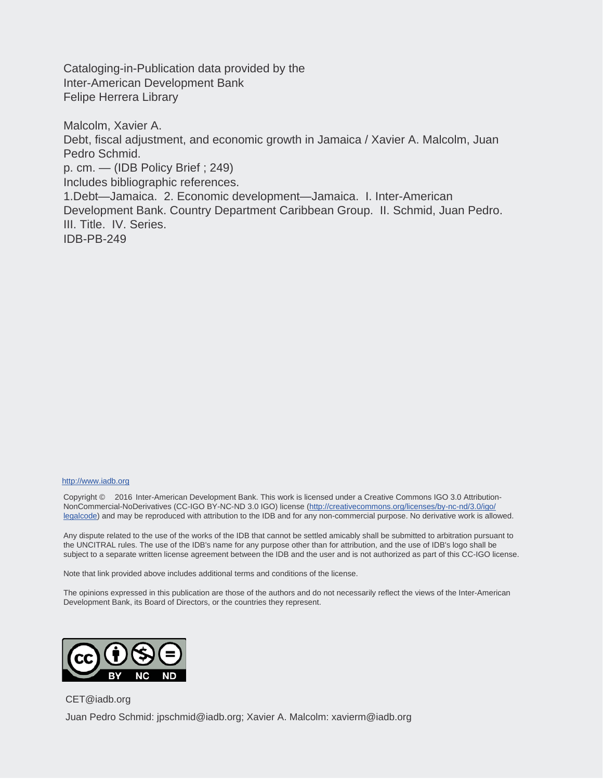Cataloging-in-Publication data provided by the Inter-American Development Bank Felipe Herrera Library

Malcolm, Xavier A. Debt, fiscal adjustment, and economic growth in Jamaica / Xavier A. Malcolm, Juan Pedro Schmid. p. cm. — (IDB Policy Brief ; 249) Includes bibliographic references. 1.Debt—Jamaica. 2. Economic development—Jamaica. I. Inter-American Development Bank. Country Department Caribbean Group. II. Schmid, Juan Pedro. III. Title. IV. Series. IDB-PB-249

#### http://www.iadb.org

Copyright © 2016 Inter-American Development Bank. This work is licensed under a Creative Commons IGO 3.0 Attribution-NonCommercial-NoDerivatives (CC-IGO BY-NC-ND 3.0 IGO) license (http://creativecommons.org/licenses/by-nc-nd/3.0/igo/ legalcode) and may be reproduced with attribution to the IDB and for any non-commercial purpose. No derivative work is allowed.

Any dispute related to the use of the works of the IDB that cannot be settled amicably shall be submitted to arbitration pursuant to the UNCITRAL rules. The use of the IDB's name for any purpose other than for attribution, and the use of IDB's logo shall be subject to a separate written license agreement between the IDB and the user and is not authorized as part of this CC-IGO license.

Note that link provided above includes additional terms and conditions of the license.

The opinions expressed in this publication are those of the authors and do not necessarily reflect the views of the Inter-American Development Bank, its Board of Directors, or the countries they represent.



CET@iadb.org Juan Pedro Schmid: jpschmid@iadb.org; Xavier A. Malcolm: xavierm@iadb.org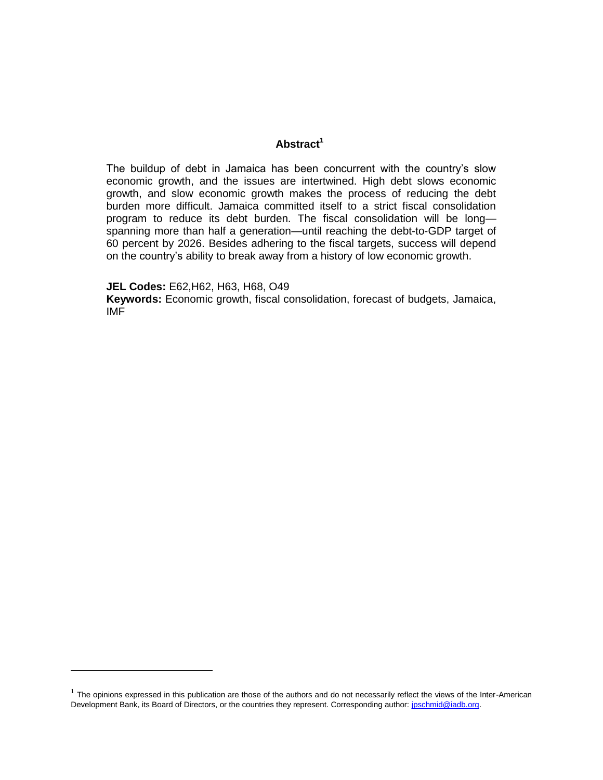# **Abstract<sup>1</sup>**

The buildup of debt in Jamaica has been concurrent with the country's slow economic growth, and the issues are intertwined. High debt slows economic growth, and slow economic growth makes the process of reducing the debt burden more difficult. Jamaica committed itself to a strict fiscal consolidation program to reduce its debt burden. The fiscal consolidation will be long spanning more than half a generation—until reaching the debt-to-GDP target of 60 percent by 2026. Besides adhering to the fiscal targets, success will depend on the country's ability to break away from a history of low economic growth.

**JEL Codes:** E62,H62, H63, H68, O49

**Keywords:** Economic growth, fiscal consolidation, forecast of budgets, Jamaica, IMF

 $1$  The opinions expressed in this publication are those of the authors and do not necessarily reflect the views of the Inter-American Development Bank, its Board of Directors, or the countries they represent. Corresponding author: jpschmid@iadb.org.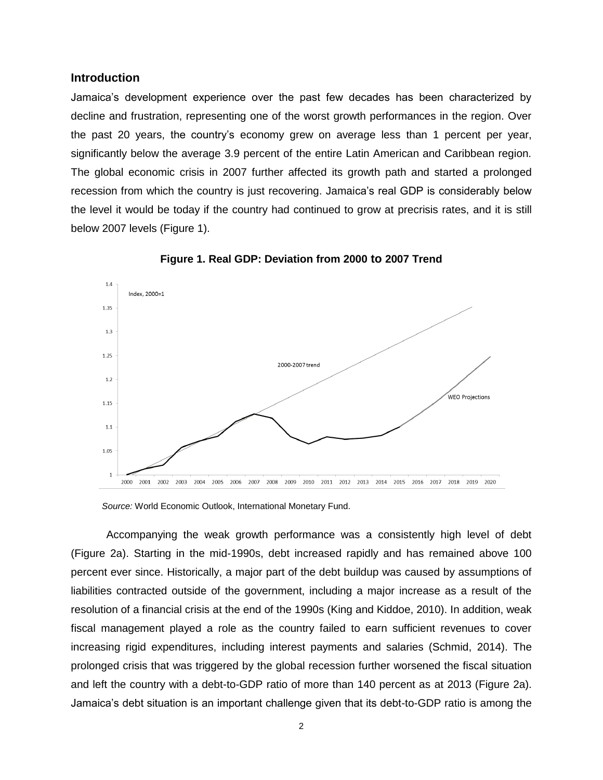#### **Introduction**

Jamaica's development experience over the past few decades has been characterized by decline and frustration, representing one of the worst growth performances in the region. Over the past 20 years, the country's economy grew on average less than 1 percent per year, significantly below the average 3.9 percent of the entire Latin American and Caribbean region. The global economic crisis in 2007 further affected its growth path and started a prolonged recession from which the country is just recovering. Jamaica's real GDP is considerably below the level it would be today if the country had continued to grow at precrisis rates, and it is still below 2007 levels (Figure 1).



**Figure 1. Real GDP: Deviation from 2000 to 2007 Trend**

*Source:* World Economic Outlook, International Monetary Fund.

Accompanying the weak growth performance was a consistently high level of debt (Figure 2a). Starting in the mid-1990s, debt increased rapidly and has remained above 100 percent ever since. Historically, a major part of the debt buildup was caused by assumptions of liabilities contracted outside of the government, including a major increase as a result of the resolution of a financial crisis at the end of the 1990s (King and Kiddoe, 2010). In addition, weak fiscal management played a role as the country failed to earn sufficient revenues to cover increasing rigid expenditures, including interest payments and salaries (Schmid, 2014). The prolonged crisis that was triggered by the global recession further worsened the fiscal situation and left the country with a debt-to-GDP ratio of more than 140 percent as at 2013 (Figure 2a). Jamaica's debt situation is an important challenge given that its debt-to-GDP ratio is among the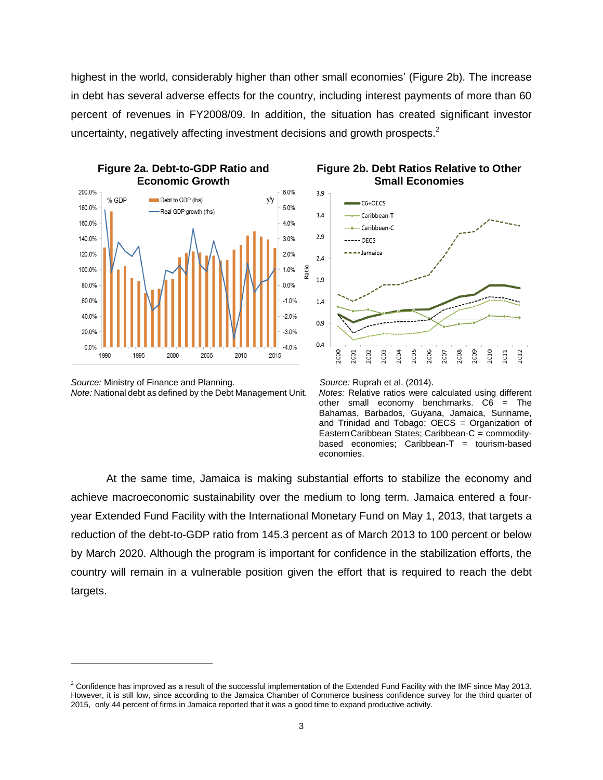highest in the world, considerably higher than other small economies' (Figure 2b). The increase in debt has several adverse effects for the country, including interest payments of more than 60 percent of revenues in FY2008/09. In addition, the situation has created significant investor uncertainty, negatively affecting investment decisions and growth prospects.<sup>2</sup>



*Source:* Ministry of Finance and Planning. *Source:* Ruprah et al. (2014). *Note:* National debt as defined by the Debt Management Unit. *Notes:* Relative ratios were calculated using different

 $\overline{a}$ 





other small economy benchmarks. C6 = The Bahamas, Barbados, Guyana, Jamaica, Suriname, and Trinidad and Tobago; OECS = Organization of EasternCaribbean States; Caribbean-C = commoditybased economies;  $Caribbean-T = tourism-based$ economies.

At the same time, Jamaica is making substantial efforts to stabilize the economy and achieve macroeconomic sustainability over the medium to long term. Jamaica entered a fouryear Extended Fund Facility with the International Monetary Fund on May 1, 2013, that targets a reduction of the debt-to-GDP ratio from 145.3 percent as of March 2013 to 100 percent or below by March 2020. Although the program is important for confidence in the stabilization efforts, the country will remain in a vulnerable position given the effort that is required to reach the debt targets.

 $2$  Confidence has improved as a result of the successful implementation of the Extended Fund Facility with the IMF since May 2013. However, it is still low, since according to the Jamaica Chamber of Commerce business confidence survey for the third quarter of 2015, only 44 percent of firms in Jamaica reported that it was a good time to expand productive activity.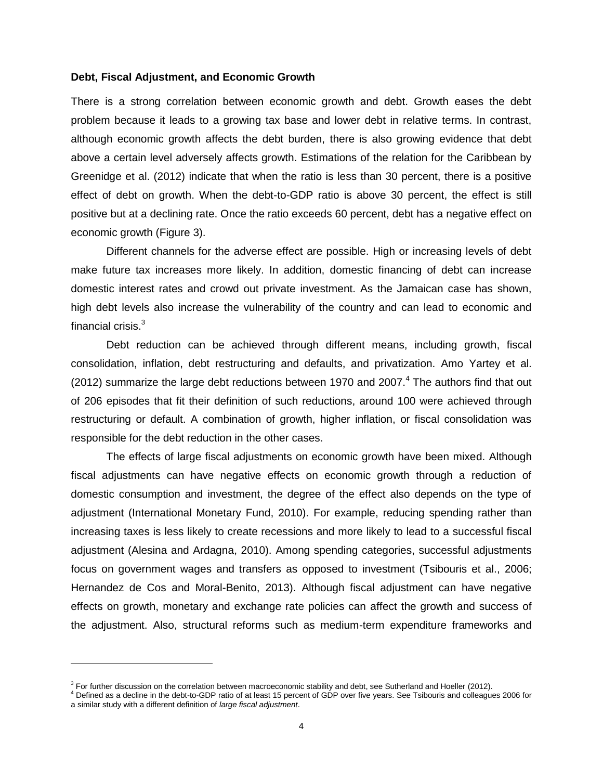#### **Debt, Fiscal Adjustment, and Economic Growth**

There is a strong correlation between economic growth and debt. Growth eases the debt problem because it leads to a growing tax base and lower debt in relative terms. In contrast, although economic growth affects the debt burden, there is also growing evidence that debt above a certain level adversely affects growth. Estimations of the relation for the Caribbean by Greenidge et al. (2012) indicate that when the ratio is less than 30 percent, there is a positive effect of debt on growth. When the debt-to-GDP ratio is above 30 percent, the effect is still positive but at a declining rate. Once the ratio exceeds 60 percent, debt has a negative effect on economic growth (Figure 3).

Different channels for the adverse effect are possible. High or increasing levels of debt make future tax increases more likely. In addition, domestic financing of debt can increase domestic interest rates and crowd out private investment. As the Jamaican case has shown, high debt levels also increase the vulnerability of the country and can lead to economic and financial crisis. $3<sup>3</sup>$ 

Debt reduction can be achieved through different means, including growth, fiscal consolidation, inflation, debt restructuring and defaults, and privatization. Amo Yartey et al. (2012) summarize the large debt reductions between 1970 and 2007. $4$  The authors find that out of 206 episodes that fit their definition of such reductions, around 100 were achieved through restructuring or default. A combination of growth, higher inflation, or fiscal consolidation was responsible for the debt reduction in the other cases.

The effects of large fiscal adjustments on economic growth have been mixed. Although fiscal adjustments can have negative effects on economic growth through a reduction of domestic consumption and investment, the degree of the effect also depends on the type of adjustment (International Monetary Fund, 2010). For example, reducing spending rather than increasing taxes is less likely to create recessions and more likely to lead to a successful fiscal adjustment (Alesina and Ardagna, 2010). Among spending categories, successful adjustments focus on government wages and transfers as opposed to investment (Tsibouris et al., 2006; Hernandez de Cos and Moral-Benito, 2013). Although fiscal adjustment can have negative effects on growth, monetary and exchange rate policies can affect the growth and success of the adjustment. Also, structural reforms such as medium-term expenditure frameworks and

<sup>&</sup>lt;sup>3</sup> For further discussion on the correlation between macroeconomic stability and debt, see Sutherland and Hoeller (2012).

<sup>4</sup> Defined as a decline in the debt-to-GDP ratio of at least 15 percent of GDP over five years. See Tsibouris and colleagues 2006 for a similar study with a different definition of *large fiscal adjustment*.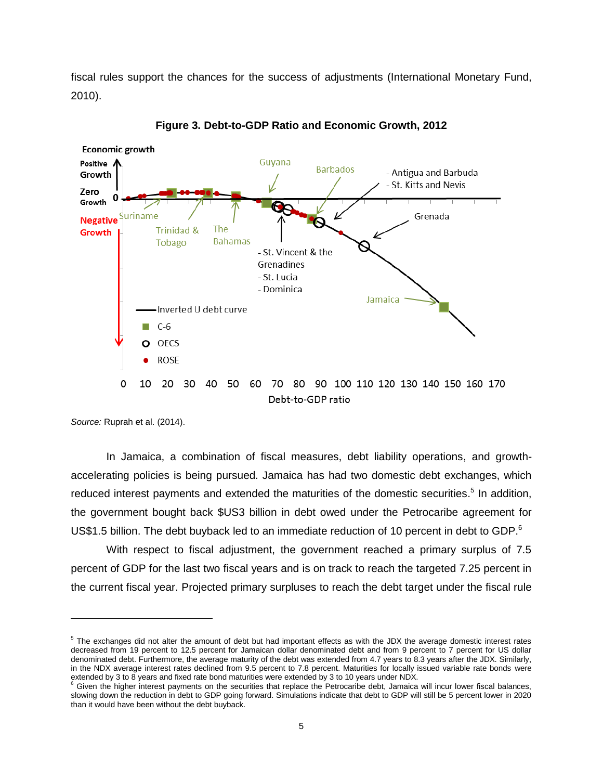fiscal rules support the chances for the success of adjustments (International Monetary Fund, 2010).



**Figure 3. Debt-to-GDP Ratio and Economic Growth, 2012**

*Source:* Ruprah et al. (2014).

 $\overline{a}$ 

In Jamaica, a combination of fiscal measures, debt liability operations, and growthaccelerating policies is being pursued. Jamaica has had two domestic debt exchanges, which reduced interest payments and extended the maturities of the domestic securities.<sup>5</sup> In addition, the government bought back \$US3 billion in debt owed under the Petrocaribe agreement for US\$1.5 billion. The debt buyback led to an immediate reduction of 10 percent in debt to GDP.<sup>6</sup>

With respect to fiscal adjustment, the government reached a primary surplus of 7.5 percent of GDP for the last two fiscal years and is on track to reach the targeted 7.25 percent in the current fiscal year. Projected primary surpluses to reach the debt target under the fiscal rule

 $5$  The exchanges did not alter the amount of debt but had important effects as with the JDX the average domestic interest rates decreased from 19 percent to 12.5 percent for Jamaican dollar denominated debt and from 9 percent to 7 percent for US dollar denominated debt. Furthermore, the average maturity of the debt was extended from 4.7 years to 8.3 years after the JDX. Similarly, in the NDX average interest rates declined from 9.5 percent to 7.8 percent. Maturities for locally issued variable rate bonds were

extended by 3 to 8 years and fixed rate bond maturities were extended by 3 to 10 years under NDX.<br><sup>6</sup> Given the higher interest payments on the securities that replace the Petrocaribe debt, Jamaica will incur lower fiscal slowing down the reduction in debt to GDP going forward. Simulations indicate that debt to GDP will still be 5 percent lower in 2020 than it would have been without the debt buyback.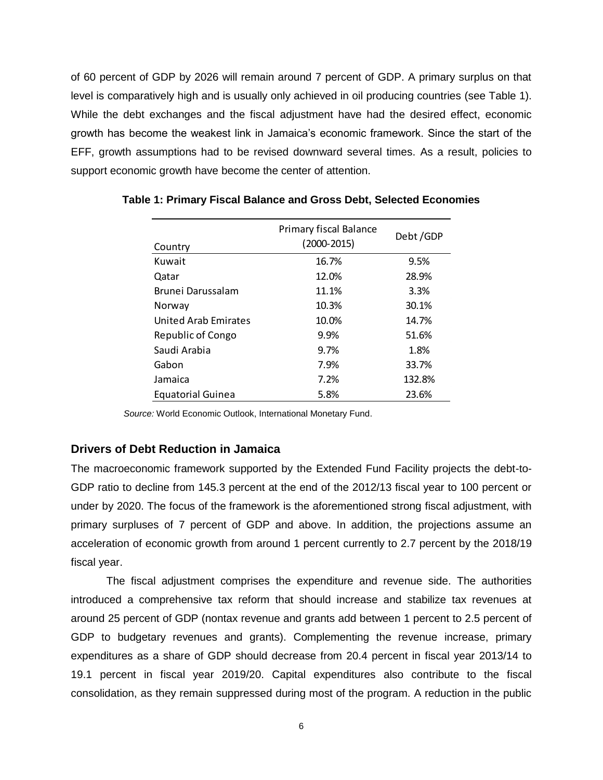of 60 percent of GDP by 2026 will remain around 7 percent of GDP. A primary surplus on that level is comparatively high and is usually only achieved in oil producing countries (see Table 1). While the debt exchanges and the fiscal adjustment have had the desired effect, economic growth has become the weakest link in Jamaica's economic framework. Since the start of the EFF, growth assumptions had to be revised downward several times. As a result, policies to support economic growth have become the center of attention.

| Country                     | <b>Primary fiscal Balance</b><br>$(2000 - 2015)$ | Debt/GDP |
|-----------------------------|--------------------------------------------------|----------|
| Kuwait                      | 16.7%                                            | 9.5%     |
| Qatar                       | 12.0%                                            | 28.9%    |
| Brunei Darussalam           | 11.1%                                            | 3.3%     |
| Norway                      | 10.3%                                            | 30.1%    |
| <b>United Arab Emirates</b> | 10.0%                                            | 14.7%    |
| Republic of Congo           | 9.9%                                             | 51.6%    |
| Saudi Arabia                | 9.7%                                             | 1.8%     |
| Gabon                       | 7.9%                                             | 33.7%    |
| Jamaica                     | 7.2%                                             | 132.8%   |
| <b>Equatorial Guinea</b>    | 5.8%                                             | 23.6%    |

**Table 1: Primary Fiscal Balance and Gross Debt, Selected Economies**

 *Source:* World Economic Outlook, International Monetary Fund.

# **Drivers of Debt Reduction in Jamaica**

The macroeconomic framework supported by the Extended Fund Facility projects the debt-to-GDP ratio to decline from 145.3 percent at the end of the 2012/13 fiscal year to 100 percent or under by 2020. The focus of the framework is the aforementioned strong fiscal adjustment, with primary surpluses of 7 percent of GDP and above. In addition, the projections assume an acceleration of economic growth from around 1 percent currently to 2.7 percent by the 2018/19 fiscal year.

The fiscal adjustment comprises the expenditure and revenue side. The authorities introduced a comprehensive tax reform that should increase and stabilize tax revenues at around 25 percent of GDP (nontax revenue and grants add between 1 percent to 2.5 percent of GDP to budgetary revenues and grants). Complementing the revenue increase, primary expenditures as a share of GDP should decrease from 20.4 percent in fiscal year 2013/14 to 19.1 percent in fiscal year 2019/20. Capital expenditures also contribute to the fiscal consolidation, as they remain suppressed during most of the program. A reduction in the public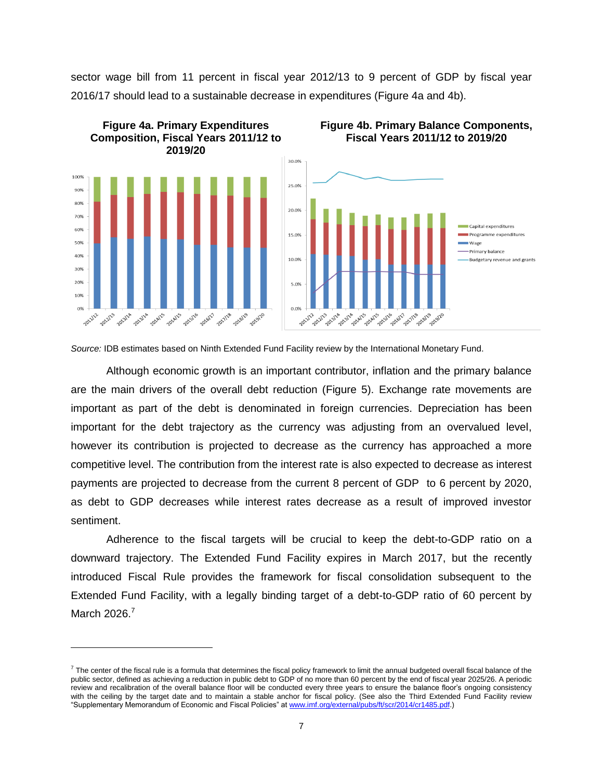sector wage bill from 11 percent in fiscal year 2012/13 to 9 percent of GDP by fiscal year 2016/17 should lead to a sustainable decrease in expenditures (Figure 4a and 4b).



*Source:* IDB estimates based on Ninth Extended Fund Facility review by the International Monetary Fund.

Although economic growth is an important contributor, inflation and the primary balance are the main drivers of the overall debt reduction (Figure 5). Exchange rate movements are important as part of the debt is denominated in foreign currencies. Depreciation has been important for the debt trajectory as the currency was adjusting from an overvalued level, however its contribution is projected to decrease as the currency has approached a more competitive level. The contribution from the interest rate is also expected to decrease as interest payments are projected to decrease from the current 8 percent of GDP to 6 percent by 2020, as debt to GDP decreases while interest rates decrease as a result of improved investor sentiment.

Adherence to the fiscal targets will be crucial to keep the debt-to-GDP ratio on a downward trajectory. The Extended Fund Facility expires in March 2017, but the recently introduced Fiscal Rule provides the framework for fiscal consolidation subsequent to the Extended Fund Facility, with a legally binding target of a debt-to-GDP ratio of 60 percent by March 2026.<sup>7</sup>

 $^7$  The center of the fiscal rule is a formula that determines the fiscal policy framework to limit the annual budgeted overall fiscal balance of the public sector, defined as achieving a reduction in public debt to GDP of no more than 60 percent by the end of fiscal year 2025/26. A periodic review and recalibration of the overall balance floor will be conducted every three years to ensure the balance floor's ongoing consistency with the ceiling by the target date and to maintain a stable anchor for fiscal policy. (See also the Third Extended Fund Facility review "Supplementary Memorandum of Economic and Fiscal Policies" at [www.imf.org/external/pubs/ft/scr/2014/cr1485.pdf.](http://www.imf.org/external/pubs/ft/scr/2014/cr1485.pdf))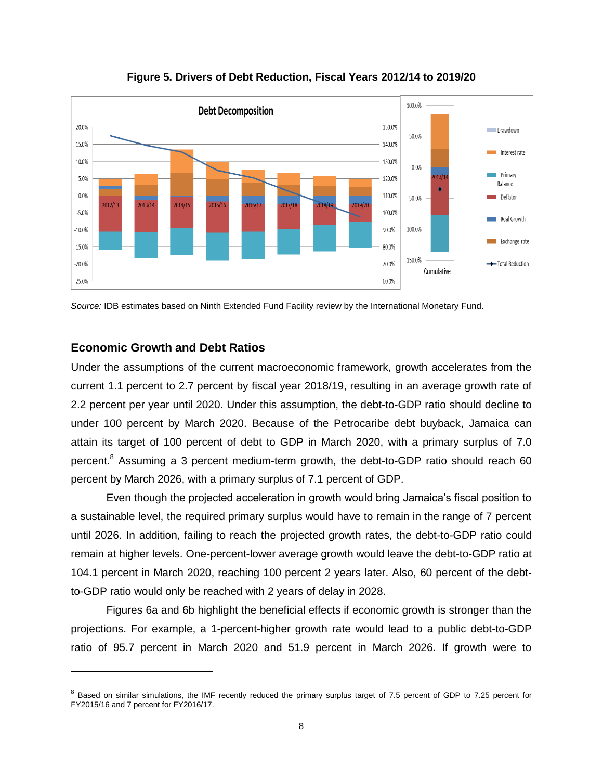

**Figure 5. Drivers of Debt Reduction, Fiscal Years 2012/14 to 2019/20**

*Source:* IDB estimates based on Ninth Extended Fund Facility review by the International Monetary Fund.

# **Economic Growth and Debt Ratios**

 $\overline{a}$ 

Under the assumptions of the current macroeconomic framework, growth accelerates from the current 1.1 percent to 2.7 percent by fiscal year 2018/19, resulting in an average growth rate of 2.2 percent per year until 2020. Under this assumption, the debt-to-GDP ratio should decline to under 100 percent by March 2020. Because of the Petrocaribe debt buyback, Jamaica can attain its target of 100 percent of debt to GDP in March 2020, with a primary surplus of 7.0 percent.<sup>8</sup> Assuming a 3 percent medium-term growth, the debt-to-GDP ratio should reach 60 percent by March 2026, with a primary surplus of 7.1 percent of GDP.

Even though the projected acceleration in growth would bring Jamaica's fiscal position to a sustainable level, the required primary surplus would have to remain in the range of 7 percent until 2026. In addition, failing to reach the projected growth rates, the debt-to-GDP ratio could remain at higher levels. One-percent-lower average growth would leave the debt-to-GDP ratio at 104.1 percent in March 2020, reaching 100 percent 2 years later. Also, 60 percent of the debtto-GDP ratio would only be reached with 2 years of delay in 2028.

Figures 6a and 6b highlight the beneficial effects if economic growth is stronger than the projections. For example, a 1-percent-higher growth rate would lead to a public debt-to-GDP ratio of 95.7 percent in March 2020 and 51.9 percent in March 2026. If growth were to

 $^8$  Based on similar simulations, the IMF recently reduced the primary surplus target of 7.5 percent of GDP to 7.25 percent for FY2015/16 and 7 percent for FY2016/17.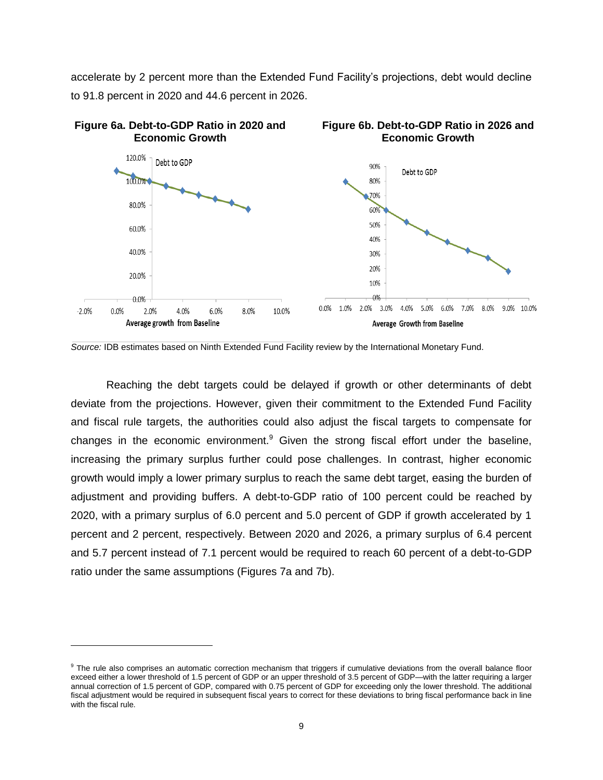accelerate by 2 percent more than the Extended Fund Facility's projections, debt would decline to 91.8 percent in 2020 and 44.6 percent in 2026.



*Source:* IDB estimates based on Ninth Extended Fund Facility review by the International Monetary Fund.

Reaching the debt targets could be delayed if growth or other determinants of debt deviate from the projections. However, given their commitment to the Extended Fund Facility and fiscal rule targets, the authorities could also adjust the fiscal targets to compensate for changes in the economic environment.<sup>9</sup> Given the strong fiscal effort under the baseline, increasing the primary surplus further could pose challenges. In contrast, higher economic growth would imply a lower primary surplus to reach the same debt target, easing the burden of adjustment and providing buffers. A debt-to-GDP ratio of 100 percent could be reached by 2020, with a primary surplus of 6.0 percent and 5.0 percent of GDP if growth accelerated by 1 percent and 2 percent, respectively. Between 2020 and 2026, a primary surplus of 6.4 percent and 5.7 percent instead of 7.1 percent would be required to reach 60 percent of a debt-to-GDP ratio under the same assumptions (Figures 7a and 7b).

<sup>&</sup>lt;sup>9</sup> The rule also comprises an automatic correction mechanism that triggers if cumulative deviations from the overall balance floor exceed either a lower threshold of 1.5 percent of GDP or an upper threshold of 3.5 percent of GDP—with the latter requiring a larger annual correction of 1.5 percent of GDP, compared with 0.75 percent of GDP for exceeding only the lower threshold. The additional fiscal adjustment would be required in subsequent fiscal years to correct for these deviations to bring fiscal performance back in line with the fiscal rule.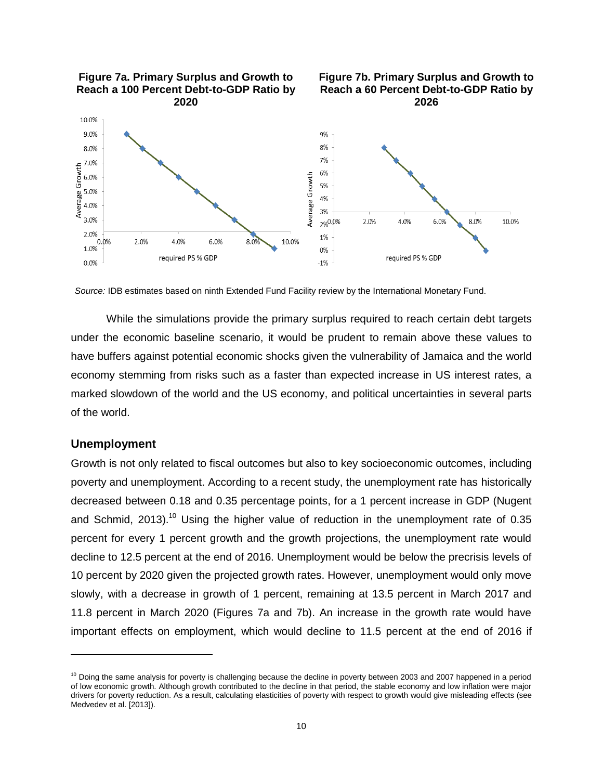

*Source:* IDB estimates based on ninth Extended Fund Facility review by the International Monetary Fund.

While the simulations provide the primary surplus required to reach certain debt targets under the economic baseline scenario, it would be prudent to remain above these values to have buffers against potential economic shocks given the vulnerability of Jamaica and the world economy stemming from risks such as a faster than expected increase in US interest rates, a marked slowdown of the world and the US economy, and political uncertainties in several parts of the world.

## **Unemployment**

 $\overline{a}$ 

Growth is not only related to fiscal outcomes but also to key socioeconomic outcomes, including poverty and unemployment. According to a recent study, the unemployment rate has historically decreased between 0.18 and 0.35 percentage points, for a 1 percent increase in GDP (Nugent and Schmid. 2013).<sup>10</sup> Using the higher value of reduction in the unemployment rate of 0.35 percent for every 1 percent growth and the growth projections, the unemployment rate would decline to 12.5 percent at the end of 2016. Unemployment would be below the precrisis levels of 10 percent by 2020 given the projected growth rates. However, unemployment would only move slowly, with a decrease in growth of 1 percent, remaining at 13.5 percent in March 2017 and 11.8 percent in March 2020 (Figures 7a and 7b). An increase in the growth rate would have important effects on employment, which would decline to 11.5 percent at the end of 2016 if

<sup>&</sup>lt;sup>10</sup> Doing the same analysis for poverty is challenging because the decline in poverty between 2003 and 2007 happened in a period of low economic growth. Although growth contributed to the decline in that period, the stable economy and low inflation were major drivers for poverty reduction. As a result, calculating elasticities of poverty with respect to growth would give misleading effects (see Medvedev et al. [2013]).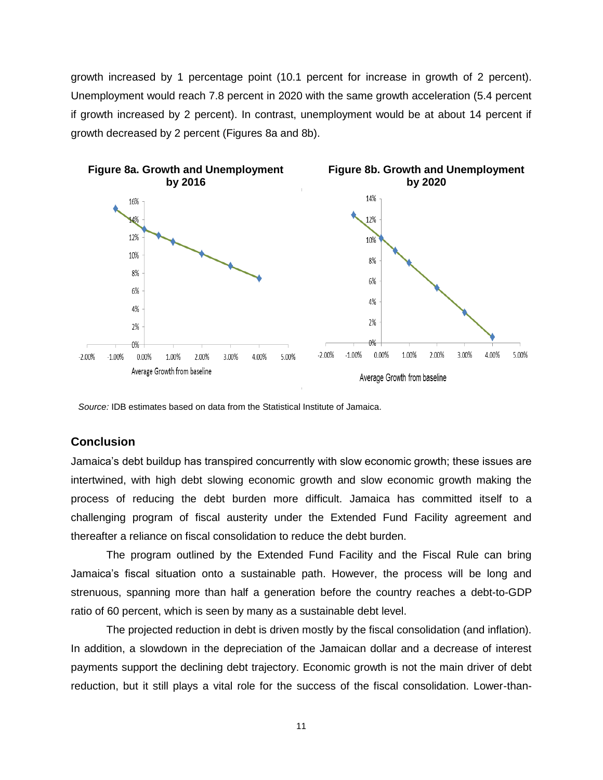growth increased by 1 percentage point (10.1 percent for increase in growth of 2 percent). Unemployment would reach 7.8 percent in 2020 with the same growth acceleration (5.4 percent if growth increased by 2 percent). In contrast, unemployment would be at about 14 percent if growth decreased by 2 percent (Figures 8a and 8b).



 *Source:* IDB estimates based on data from the Statistical Institute of Jamaica.

## **Conclusion**

Jamaica's debt buildup has transpired concurrently with slow economic growth; these issues are intertwined, with high debt slowing economic growth and slow economic growth making the process of reducing the debt burden more difficult. Jamaica has committed itself to a challenging program of fiscal austerity under the Extended Fund Facility agreement and thereafter a reliance on fiscal consolidation to reduce the debt burden.

The program outlined by the Extended Fund Facility and the Fiscal Rule can bring Jamaica's fiscal situation onto a sustainable path. However, the process will be long and strenuous, spanning more than half a generation before the country reaches a debt-to-GDP ratio of 60 percent, which is seen by many as a sustainable debt level.

The projected reduction in debt is driven mostly by the fiscal consolidation (and inflation). In addition, a slowdown in the depreciation of the Jamaican dollar and a decrease of interest payments support the declining debt trajectory. Economic growth is not the main driver of debt reduction, but it still plays a vital role for the success of the fiscal consolidation. Lower-than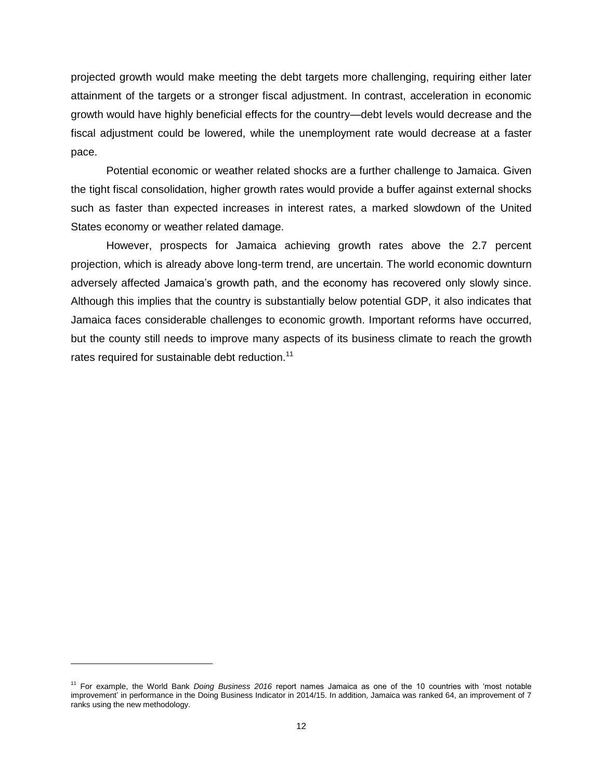projected growth would make meeting the debt targets more challenging, requiring either later attainment of the targets or a stronger fiscal adjustment. In contrast, acceleration in economic growth would have highly beneficial effects for the country—debt levels would decrease and the fiscal adjustment could be lowered, while the unemployment rate would decrease at a faster pace.

Potential economic or weather related shocks are a further challenge to Jamaica. Given the tight fiscal consolidation, higher growth rates would provide a buffer against external shocks such as faster than expected increases in interest rates, a marked slowdown of the United States economy or weather related damage.

However, prospects for Jamaica achieving growth rates above the 2.7 percent projection, which is already above long-term trend, are uncertain. The world economic downturn adversely affected Jamaica's growth path, and the economy has recovered only slowly since. Although this implies that the country is substantially below potential GDP, it also indicates that Jamaica faces considerable challenges to economic growth. Important reforms have occurred, but the county still needs to improve many aspects of its business climate to reach the growth rates required for sustainable debt reduction.<sup>11</sup>

<sup>11</sup> For example, the World Bank *Doing Business 2016* report names Jamaica as one of the 10 countries with 'most notable improvement' in performance in the Doing Business Indicator in 2014/15. In addition, Jamaica was ranked 64, an improvement of 7 ranks using the new methodology.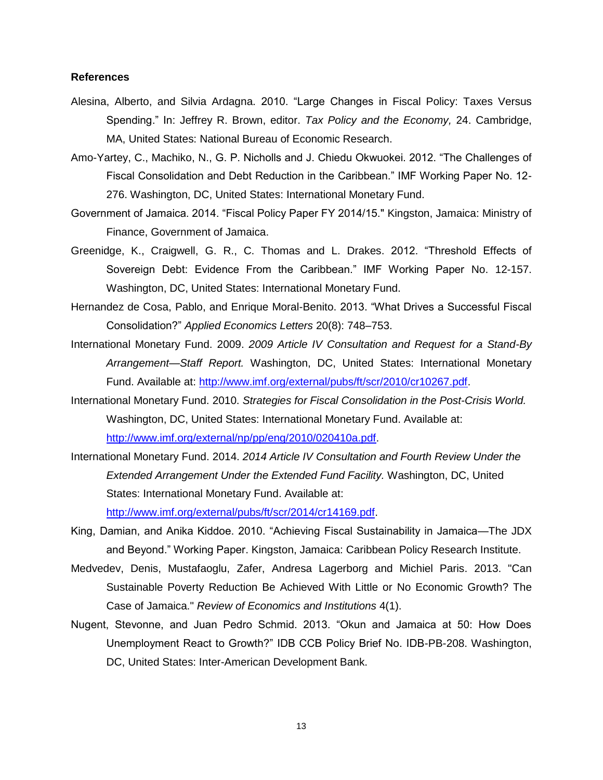### **References**

- Alesina, Alberto, and Silvia Ardagna. 2010. "Large Changes in Fiscal Policy: Taxes Versus Spending." In: Jeffrey R. Brown, editor. *Tax Policy and the Economy,* 24. Cambridge, MA, United States: National Bureau of Economic Research.
- Amo-Yartey, C., Machiko, N., G. P. Nicholls and J. Chiedu Okwuokei. 2012. "The Challenges of Fiscal Consolidation and Debt Reduction in the Caribbean." IMF Working Paper No. 12- 276. Washington, DC, United States: International Monetary Fund.
- Government of Jamaica. 2014. "Fiscal Policy Paper FY 2014/15." Kingston, Jamaica: Ministry of Finance, Government of Jamaica.
- Greenidge, K., Craigwell, G. R., C. Thomas and L. Drakes. 2012. "Threshold Effects of Sovereign Debt: Evidence From the Caribbean." IMF Working Paper No. 12-157. Washington, DC, United States: International Monetary Fund.
- Hernandez de Cosa, Pablo, and Enrique Moral-Benito. 2013. "What Drives a Successful Fiscal Consolidation?" *Applied Economics Letters* 20(8): 748–753.
- International Monetary Fund. 2009. *2009 Article IV Consultation and Request for a Stand-By Arrangement—Staff Report.* Washington, DC, United States: International Monetary Fund. Available at: [http://www.imf.org/external/pubs/ft/scr/2010/cr10267.pdf.](http://www.imf.org/external/pubs/ft/scr/2010/cr10267.pdf)
- International Monetary Fund. 2010. *Strategies for Fiscal Consolidation in the Post-Crisis World.* Washington, DC, United States: International Monetary Fund. Available at: [http://www.imf.org/external/np/pp/eng/2010/020410a.pdf.](http://www.imf.org/external/np/pp/eng/2010/020410a.pdf)
- International Monetary Fund. 2014. *2014 Article IV Consultation and Fourth Review Under the Extended Arrangement Under the Extended Fund Facility.* Washington, DC, United States: International Monetary Fund. Available at:

[http://www.imf.org/external/pubs/ft/scr/2014/cr14169.pdf.](http://www.imf.org/external/pubs/ft/scr/2014/cr14169.pdf)

- King, Damian, and Anika Kiddoe. 2010. "Achieving Fiscal Sustainability in Jamaica—The JDX and Beyond." Working Paper. Kingston, Jamaica: Caribbean Policy Research Institute.
- Medvedev, Denis, Mustafaoglu, Zafer, Andresa Lagerborg and Michiel Paris. 2013. "Can Sustainable Poverty Reduction Be Achieved With Little or No Economic Growth? The Case of Jamaica." *Review of Economics and Institutions* 4(1).
- Nugent, Stevonne, and Juan Pedro Schmid. 2013. "Okun and Jamaica at 50: How Does Unemployment React to Growth?" IDB CCB Policy Brief No. IDB-PB-208. Washington, DC, United States: Inter-American Development Bank.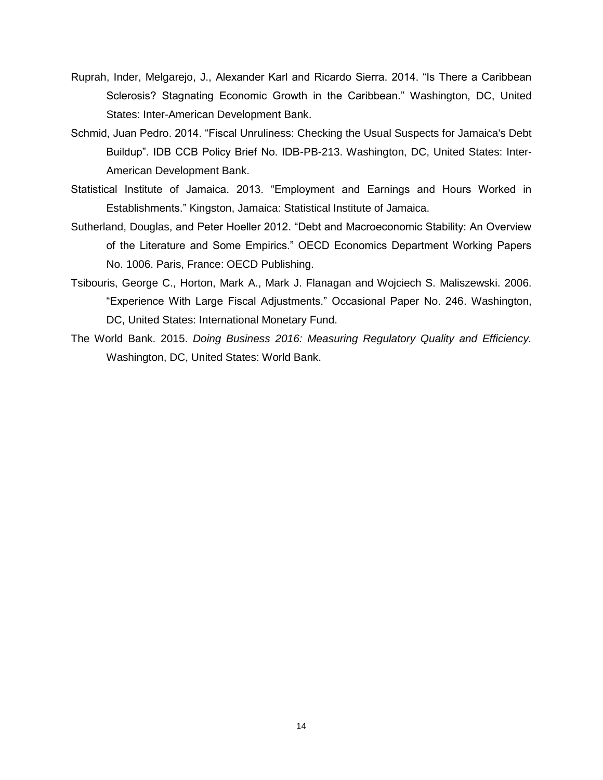- Ruprah, Inder, Melgarejo, J., Alexander Karl and Ricardo Sierra. 2014. "Is There a Caribbean Sclerosis? Stagnating Economic Growth in the Caribbean." Washington, DC, United States: Inter-American Development Bank.
- Schmid, Juan Pedro. 2014. "Fiscal Unruliness: Checking the Usual Suspects for Jamaica's Debt Buildup". IDB CCB Policy Brief No. IDB-PB-213. Washington, DC, United States: Inter-American Development Bank.
- Statistical Institute of Jamaica. 2013. "Employment and Earnings and Hours Worked in Establishments." Kingston, Jamaica: Statistical Institute of Jamaica.
- Sutherland, Douglas, and Peter Hoeller 2012. "Debt and Macroeconomic Stability: An Overview of the Literature and Some Empirics." OECD Economics Department Working Papers No. 1006. Paris, France: OECD Publishing.
- Tsibouris, George C., Horton, Mark A., Mark J. Flanagan and Wojciech S. Maliszewski. 2006. "Experience With Large Fiscal Adjustments." Occasional Paper No. 246. Washington, DC, United States: International Monetary Fund.
- The World Bank. 2015. *Doing Business 2016: Measuring Regulatory Quality and Efficiency.* Washington, DC, United States: World Bank.